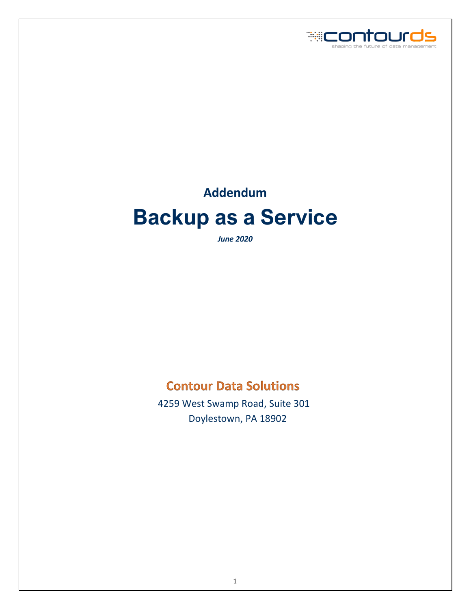

# **Addendum Backup as a Service**

*June 2020*

## **Contour Data Solutions**

 4259 West Swamp Road, Suite 301 Doylestown, PA 18902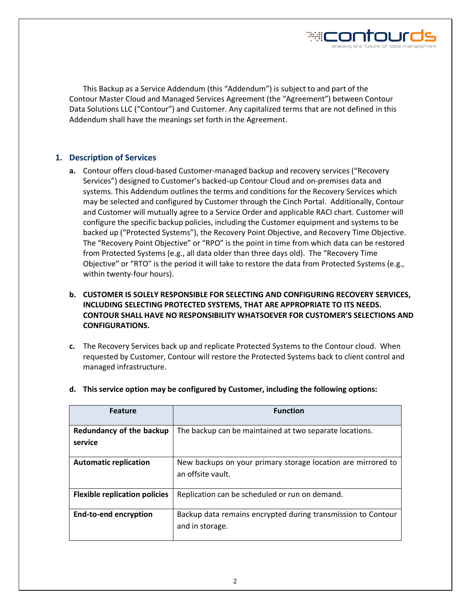

This Backup as a Service Addendum (this "Addendum") is subject to and part of the Contour Master Cloud and Managed Services Agreement (the "Agreement") between Contour Data Solutions LLC ("Contour") and Customer. Any capitalized terms that are not defined in this Addendum shall have the meanings set forth in the Agreement.

#### **1. Description of Services**

- **a.** Contour offers cloud-based Customer-managed backup and recovery services ("Recovery Services") designed to Customer's backed-up Contour Cloud and on-premises data and systems. This Addendum outlines the terms and conditions for the Recovery Services which may be selected and configured by Customer through the Cinch Portal. Additionally, Contour and Customer will mutually agree to a Service Order and applicable RACI chart. Customer will configure the specific backup policies, including the Customer equipment and systems to be backed up ("Protected Systems"), the Recovery Point Objective, and Recovery Time Objective. The "Recovery Point Objective" or "RPO" is the point in time from which data can be restored from Protected Systems (e.g., all data older than three days old). The "Recovery Time Objective" or "RTO" is the period it will take to restore the data from Protected Systems (e.g., within twenty-four hours).
- **b. CUSTOMER IS SOLELY RESPONSIBLE FOR SELECTING AND CONFIGURING RECOVERY SERVICES, INCLUDING SELECTING PROTECTED SYSTEMS, THAT ARE APPROPRIATE TO ITS NEEDS. CONTOUR SHALL HAVE NO RESPONSIBILITY WHATSOEVER FOR CUSTOMER'S SELECTIONS AND CONFIGURATIONS.**
- **c.** The Recovery Services back up and replicate Protected Systems to the Contour cloud. When requested by Customer, Contour will restore the Protected Systems back to client control and managed infrastructure.

| <b>Feature</b>                       | <b>Function</b>                                                                   |
|--------------------------------------|-----------------------------------------------------------------------------------|
| Redundancy of the backup<br>service  | The backup can be maintained at two separate locations.                           |
| <b>Automatic replication</b>         | New backups on your primary storage location are mirrored to<br>an offsite vault. |
| <b>Flexible replication policies</b> | Replication can be scheduled or run on demand.                                    |
| <b>End-to-end encryption</b>         | Backup data remains encrypted during transmission to Contour<br>and in storage.   |

#### **d. This service option may be configured by Customer, including the following options:**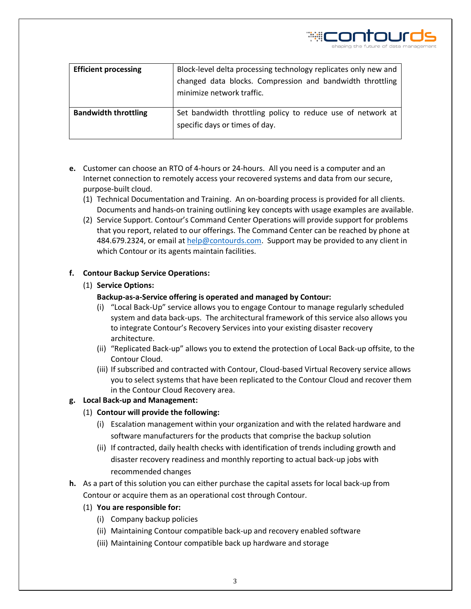| <b>Efficient processing</b> | Block-level delta processing technology replicates only new and<br>changed data blocks. Compression and bandwidth throttling<br>minimize network traffic. |  |  |
|-----------------------------|-----------------------------------------------------------------------------------------------------------------------------------------------------------|--|--|
| <b>Bandwidth throttling</b> | Set bandwidth throttling policy to reduce use of network at<br>specific days or times of day.                                                             |  |  |

- **e.** Customer can choose an RTO of 4-hours or 24-hours. All you need is a computer and an Internet connection to remotely access your recovered systems and data from our secure, purpose-built cloud.
	- (1) Technical Documentation and Training. An on-boarding process is provided for all clients. Documents and hands-on training outlining key concepts with usage examples are available.
	- (2) Service Support. Contour's Command Center Operations will provide support for problems that you report, related to our offerings. The Command Center can be reached by phone at 484.679.2324, or email at [help@contourds.com.](mailto:help@contourds.com) Support may be provided to any client in which Contour or its agents maintain facilities.

#### **f. Contour Backup Service Operations:**

(1) **Service Options:**

#### **Backup-as-a-Service offering is operated and managed by Contour:**

- (i) "Local Back-Up" service allows you to engage Contour to manage regularly scheduled system and data back-ups. The architectural framework of this service also allows you to integrate Contour's Recovery Services into your existing disaster recovery architecture.
- (ii) "Replicated Back-up" allows you to extend the protection of Local Back-up offsite, to the Contour Cloud.
- (iii) If subscribed and contracted with Contour, Cloud-based Virtual Recovery service allows you to select systems that have been replicated to the Contour Cloud and recover them in the Contour Cloud Recovery area.

#### **g. Local Back-up and Management:**

- (1) **Contour will provide the following:** 
	- (i) Escalation management within your organization and with the related hardware and software manufacturers for the products that comprise the backup solution
	- (ii) If contracted, daily health checks with identification of trends including growth and disaster recovery readiness and monthly reporting to actual back-up jobs with recommended changes
- **h.** As a part of this solution you can either purchase the capital assets for local back-up from Contour or acquire them as an operational cost through Contour.
	- (1) **You are responsible for:**
		- (i) Company backup policies
		- (ii) Maintaining Contour compatible back-up and recovery enabled software
		- (iii) Maintaining Contour compatible back up hardware and storage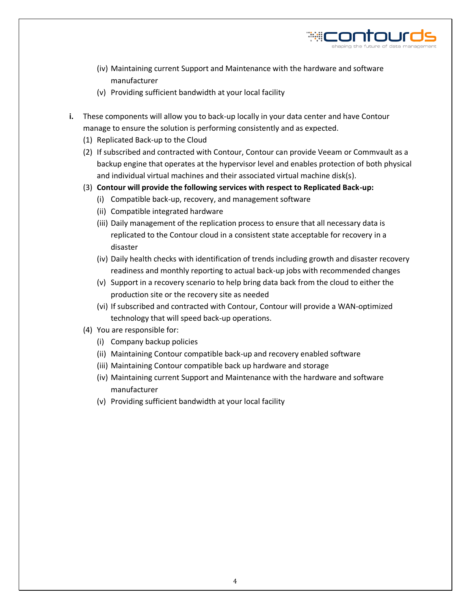- (iv) Maintaining current Support and Maintenance with the hardware and software manufacturer
- (v) Providing sufficient bandwidth at your local facility
- **i.** These components will allow you to back-up locally in your data center and have Contour manage to ensure the solution is performing consistently and as expected.
	- (1) Replicated Back-up to the Cloud
	- (2) If subscribed and contracted with Contour, Contour can provide Veeam or Commvault as a backup engine that operates at the hypervisor level and enables protection of both physical and individual virtual machines and their associated virtual machine disk(s).
	- (3) **Contour will provide the following services with respect to Replicated Back-up:** 
		- (i) Compatible back-up, recovery, and management software
		- (ii) Compatible integrated hardware
		- (iii) Daily management of the replication process to ensure that all necessary data is replicated to the Contour cloud in a consistent state acceptable for recovery in a disaster
		- (iv) Daily health checks with identification of trends including growth and disaster recovery readiness and monthly reporting to actual back-up jobs with recommended changes
		- (v) Support in a recovery scenario to help bring data back from the cloud to either the production site or the recovery site as needed
		- (vi) If subscribed and contracted with Contour, Contour will provide a WAN-optimized technology that will speed back-up operations.
	- (4) You are responsible for:
		- (i) Company backup policies
		- (ii) Maintaining Contour compatible back-up and recovery enabled software
		- (iii) Maintaining Contour compatible back up hardware and storage
		- (iv) Maintaining current Support and Maintenance with the hardware and software manufacturer
		- (v) Providing sufficient bandwidth at your local facility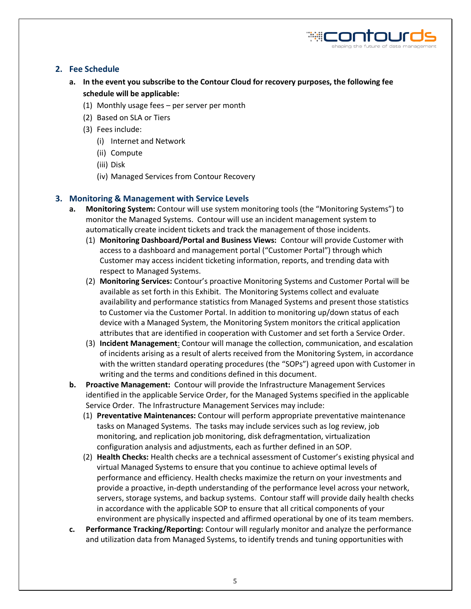#### **2. Fee Schedule**

**a. In the event you subscribe to the Contour Cloud for recovery purposes, the following fee schedule will be applicable:**

₩CONTOU

- (1) Monthly usage fees per server per month
- (2) Based on SLA or Tiers
- (3) Fees include:
	- (i) Internet and Network
	- (ii) Compute
	- (iii) Disk
	- (iv) Managed Services from Contour Recovery

#### **3. Monitoring & Management with Service Levels**

- **a. Monitoring System:** Contour will use system monitoring tools (the "Monitoring Systems") to monitor the Managed Systems. Contour will use an incident management system to automatically create incident tickets and track the management of those incidents.
	- (1) **Monitoring Dashboard/Portal and Business Views:** Contour will provide Customer with access to a dashboard and management portal ("Customer Portal") through which Customer may access incident ticketing information, reports, and trending data with respect to Managed Systems.
	- (2) **Monitoring Services:** Contour's proactive Monitoring Systems and Customer Portal will be available as set forth in this Exhibit. The Monitoring Systems collect and evaluate availability and performance statistics from Managed Systems and present those statistics to Customer via the Customer Portal. In addition to monitoring up/down status of each device with a Managed System, the Monitoring System monitors the critical application attributes that are identified in cooperation with Customer and set forth a Service Order.
	- (3) **Incident Management**: Contour will manage the collection, communication, and escalation of incidents arising as a result of alerts received from the Monitoring System, in accordance with the written standard operating procedures (the "SOPs") agreed upon with Customer in writing and the terms and conditions defined in this document.
- **b. Proactive Management:** Contour will provide the Infrastructure Management Services identified in the applicable Service Order, for the Managed Systems specified in the applicable Service Order. The Infrastructure Management Services may include:
	- (1) **Preventative Maintenances:** Contour will perform appropriate preventative maintenance tasks on Managed Systems. The tasks may include services such as log review, job monitoring, and replication job monitoring, disk defragmentation, virtualization configuration analysis and adjustments, each as further defined in an SOP.
	- (2) **Health Checks:** Health checks are a technical assessment of Customer's existing physical and virtual Managed Systems to ensure that you continue to achieve optimal levels of performance and efficiency. Health checks maximize the return on your investments and provide a proactive, in-depth understanding of the performance level across your network, servers, storage systems, and backup systems. Contour staff will provide daily health checks in accordance with the applicable SOP to ensure that all critical components of your environment are physically inspected and affirmed operational by one of its team members.
- **c. Performance Tracking/Reporting:** Contour will regularly monitor and analyze the performance and utilization data from Managed Systems, to identify trends and tuning opportunities with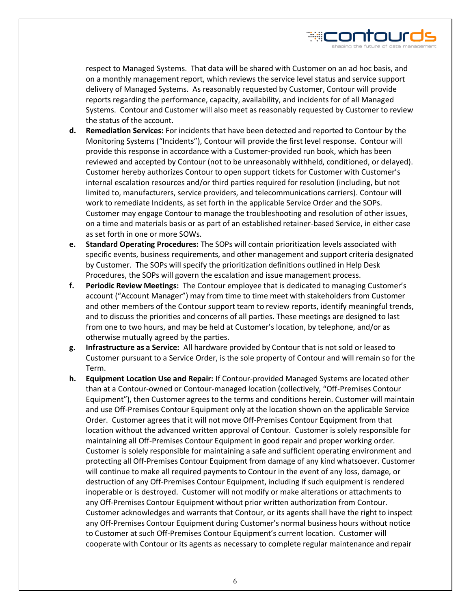respect to Managed Systems. That data will be shared with Customer on an ad hoc basis, and on a monthly management report, which reviews the service level status and service support delivery of Managed Systems. As reasonably requested by Customer, Contour will provide reports regarding the performance, capacity, availability, and incidents for of all Managed Systems. Contour and Customer will also meet as reasonably requested by Customer to review the status of the account.

**ACOOTOLI** 

- **d. Remediation Services:** For incidents that have been detected and reported to Contour by the Monitoring Systems ("Incidents"), Contour will provide the first level response. Contour will provide this response in accordance with a Customer-provided run book, which has been reviewed and accepted by Contour (not to be unreasonably withheld, conditioned, or delayed). Customer hereby authorizes Contour to open support tickets for Customer with Customer's internal escalation resources and/or third parties required for resolution (including, but not limited to, manufacturers, service providers, and telecommunications carriers). Contour will work to remediate Incidents, as set forth in the applicable Service Order and the SOPs. Customer may engage Contour to manage the troubleshooting and resolution of other issues, on a time and materials basis or as part of an established retainer-based Service, in either case as set forth in one or more SOWs.
- **e. Standard Operating Procedures:** The SOPs will contain prioritization levels associated with specific events, business requirements, and other management and support criteria designated by Customer. The SOPs will specify the prioritization definitions outlined in Help Desk Procedures, the SOPs will govern the escalation and issue management process.
- **f. Periodic Review Meetings:** The Contour employee that is dedicated to managing Customer's account ("Account Manager") may from time to time meet with stakeholders from Customer and other members of the Contour support team to review reports, identify meaningful trends, and to discuss the priorities and concerns of all parties. These meetings are designed to last from one to two hours, and may be held at Customer's location, by telephone, and/or as otherwise mutually agreed by the parties.
- **g. Infrastructure as a Service:** All hardware provided by Contour that is not sold or leased to Customer pursuant to a Service Order, is the sole property of Contour and will remain so for the Term.
- **h. Equipment Location Use and Repair:** If Contour-provided Managed Systems are located other than at a Contour-owned or Contour-managed location (collectively, "Off-Premises Contour Equipment"), then Customer agrees to the terms and conditions herein. Customer will maintain and use Off-Premises Contour Equipment only at the location shown on the applicable Service Order. Customer agrees that it will not move Off-Premises Contour Equipment from that location without the advanced written approval of Contour. Customer is solely responsible for maintaining all Off-Premises Contour Equipment in good repair and proper working order. Customer is solely responsible for maintaining a safe and sufficient operating environment and protecting all Off-Premises Contour Equipment from damage of any kind whatsoever. Customer will continue to make all required payments to Contour in the event of any loss, damage, or destruction of any Off-Premises Contour Equipment, including if such equipment is rendered inoperable or is destroyed. Customer will not modify or make alterations or attachments to any Off-Premises Contour Equipment without prior written authorization from Contour. Customer acknowledges and warrants that Contour, or its agents shall have the right to inspect any Off-Premises Contour Equipment during Customer's normal business hours without notice to Customer at such Off-Premises Contour Equipment's current location. Customer will cooperate with Contour or its agents as necessary to complete regular maintenance and repair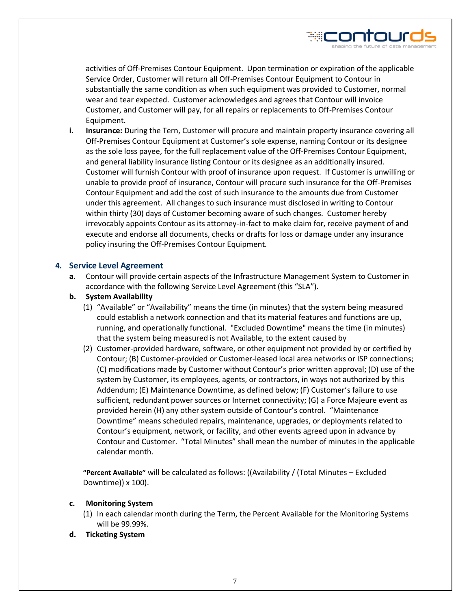activities of Off-Premises Contour Equipment. Upon termination or expiration of the applicable Service Order, Customer will return all Off-Premises Contour Equipment to Contour in substantially the same condition as when such equipment was provided to Customer, normal wear and tear expected. Customer acknowledges and agrees that Contour will invoice Customer, and Customer will pay, for all repairs or replacements to Off-Premises Contour Equipment.

**i. Insurance:** During the Tern, Customer will procure and maintain property insurance covering all Off-Premises Contour Equipment at Customer's sole expense, naming Contour or its designee as the sole loss payee, for the full replacement value of the Off-Premises Contour Equipment, and general liability insurance listing Contour or its designee as an additionally insured. Customer will furnish Contour with proof of insurance upon request. If Customer is unwilling or unable to provide proof of insurance, Contour will procure such insurance for the Off-Premises Contour Equipment and add the cost of such insurance to the amounts due from Customer under this agreement. All changes to such insurance must disclosed in writing to Contour within thirty (30) days of Customer becoming aware of such changes. Customer hereby irrevocably appoints Contour as its attorney-in-fact to make claim for, receive payment of and execute and endorse all documents, checks or drafts for loss or damage under any insurance policy insuring the Off-Premises Contour Equipment.

#### **4. Service Level Agreement**

- **a.** Contour will provide certain aspects of the Infrastructure Management System to Customer in accordance with the following Service Level Agreement (this "SLA").
- **b. System Availability**
	- (1) "Available" or "Availability" means the time (in minutes) that the system being measured could establish a network connection and that its material features and functions are up, running, and operationally functional. "Excluded Downtime" means the time (in minutes) that the system being measured is not Available, to the extent caused by
	- (2) Customer-provided hardware, software, or other equipment not provided by or certified by Contour; (B) Customer-provided or Customer-leased local area networks or ISP connections; (C) modifications made by Customer without Contour's prior written approval; (D) use of the system by Customer, its employees, agents, or contractors, in ways not authorized by this Addendum; (E) Maintenance Downtime, as defined below; (F) Customer's failure to use sufficient, redundant power sources or Internet connectivity; (G) a Force Majeure event as provided herein (H) any other system outside of Contour's control. "Maintenance Downtime" means scheduled repairs, maintenance, upgrades, or deployments related to Contour's equipment, network, or facility, and other events agreed upon in advance by Contour and Customer. "Total Minutes" shall mean the number of minutes in the applicable calendar month.

**"Percent Available"** will be calculated as follows: ((Availability / (Total Minutes – Excluded Downtime)) x 100).

#### **c. Monitoring System**

- (1) In each calendar month during the Term, the Percent Available for the Monitoring Systems will be 99.99%.
- **d. Ticketing System**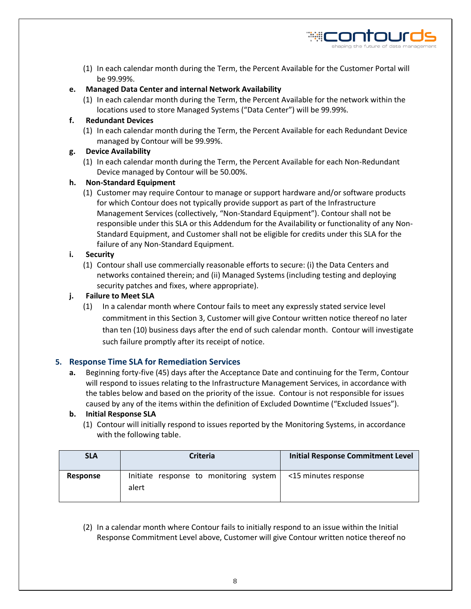(1) In each calendar month during the Term, the Percent Available for the Customer Portal will be 99.99%.

#### **e. Managed Data Center and internal Network Availability**

(1) In each calendar month during the Term, the Percent Available for the network within the locations used to store Managed Systems ("Data Center") will be 99.99%.

#### **f. Redundant Devices**

(1) In each calendar month during the Term, the Percent Available for each Redundant Device managed by Contour will be 99.99%.

#### **g. Device Availability**

(1) In each calendar month during the Term, the Percent Available for each Non-Redundant Device managed by Contour will be 50.00%.

#### **h. Non-Standard Equipment**

(1) Customer may require Contour to manage or support hardware and/or software products for which Contour does not typically provide support as part of the Infrastructure Management Services (collectively, "Non-Standard Equipment"). Contour shall not be responsible under this SLA or this Addendum for the Availability or functionality of any Non-Standard Equipment, and Customer shall not be eligible for credits under this SLA for the failure of any Non-Standard Equipment.

#### **i. Security**

(1) Contour shall use commercially reasonable efforts to secure: (i) the Data Centers and networks contained therein; and (ii) Managed Systems (including testing and deploying security patches and fixes, where appropriate).

#### **j. Failure to Meet SLA**

(1) In a calendar month where Contour fails to meet any expressly stated service level commitment in this Section 3, Customer will give Contour written notice thereof no later than ten (10) business days after the end of such calendar month. Contour will investigate such failure promptly after its receipt of notice.

#### **5. Response Time SLA for Remediation Services**

**a.** Beginning forty-five (45) days after the Acceptance Date and continuing for the Term, Contour will respond to issues relating to the Infrastructure Management Services, in accordance with the tables below and based on the priority of the issue. Contour is not responsible for issues caused by any of the items within the definition of Excluded Downtime ("Excluded Issues").

#### **b. Initial Response SLA**

(1) Contour will initially respond to issues reported by the Monitoring Systems, in accordance with the following table.

| <b>SLA</b> | <b>Criteria</b>                                 | <b>Initial Response Commitment Level</b> |
|------------|-------------------------------------------------|------------------------------------------|
| Response   | Initiate response to monitoring system<br>alert | <15 minutes response                     |

(2) In a calendar month where Contour fails to initially respond to an issue within the Initial Response Commitment Level above, Customer will give Contour written notice thereof no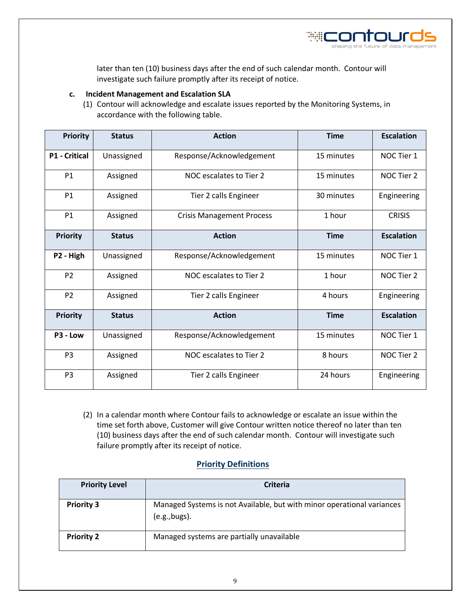

later than ten (10) business days after the end of such calendar month. Contour will investigate such failure promptly after its receipt of notice.

#### **c. Incident Management and Escalation SLA**

(1) Contour will acknowledge and escalate issues reported by the Monitoring Systems, in accordance with the following table.

| <b>Priority</b>      | <b>Status</b> | <b>Action</b>                              | <b>Time</b> | <b>Escalation</b> |
|----------------------|---------------|--------------------------------------------|-------------|-------------------|
| <b>P1 - Critical</b> | Unassigned    | Response/Acknowledgement                   | 15 minutes  | NOC Tier 1        |
| <b>P1</b>            | Assigned      | NOC escalates to Tier 2                    | 15 minutes  | NOC Tier 2        |
| <b>P1</b>            | Assigned      | Tier 2 calls Engineer                      | 30 minutes  | Engineering       |
| <b>P1</b>            | Assigned      | 1 hour<br><b>Crisis Management Process</b> |             | <b>CRISIS</b>     |
| <b>Priority</b>      | <b>Status</b> | <b>Action</b>                              | <b>Time</b> | <b>Escalation</b> |
| P2 - High            | Unassigned    | Response/Acknowledgement<br>15 minutes     |             | NOC Tier 1        |
| P <sub>2</sub>       | Assigned      | NOC escalates to Tier 2<br>1 hour          |             | NOC Tier 2        |
| P <sub>2</sub>       | Assigned      | Tier 2 calls Engineer                      | 4 hours     | Engineering       |
| <b>Priority</b>      | <b>Status</b> | <b>Action</b><br><b>Time</b>               |             | <b>Escalation</b> |
| P3 - Low             | Unassigned    | Response/Acknowledgement                   | 15 minutes  |                   |
| P <sub>3</sub>       | Assigned      | 8 hours<br>NOC escalates to Tier 2         |             | NOC Tier 2        |
| P <sub>3</sub>       | Assigned      | Tier 2 calls Engineer                      | 24 hours    | Engineering       |

(2) In a calendar month where Contour fails to acknowledge or escalate an issue within the time set forth above, Customer will give Contour written notice thereof no later than ten (10) business days after the end of such calendar month. Contour will investigate such failure promptly after its receipt of notice.

#### **Priority Definitions**

| <b>Priority Level</b> | <b>Criteria</b>                                                                         |
|-----------------------|-----------------------------------------------------------------------------------------|
| <b>Priority 3</b>     | Managed Systems is not Available, but with minor operational variances<br>(e.g., bugs). |
| <b>Priority 2</b>     | Managed systems are partially unavailable                                               |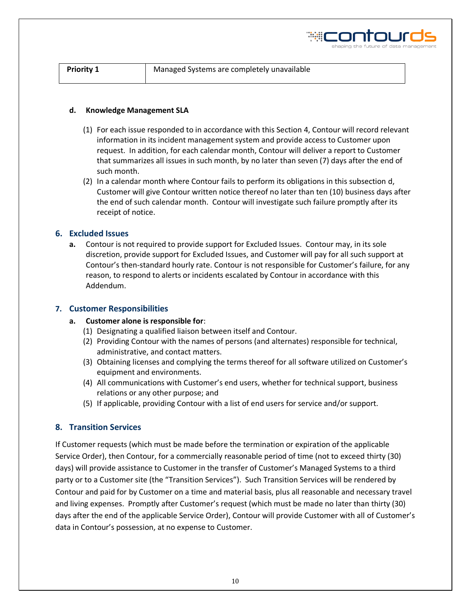|  | ₩⊂ontourd |  |                                       |  |
|--|-----------|--|---------------------------------------|--|
|  |           |  | shaping the future of data management |  |

| <b>Priority 1</b> |  |
|-------------------|--|
|-------------------|--|

#### **Priority 1** Managed Systems are completely unavailable

#### **d. Knowledge Management SLA**

- (1) For each issue responded to in accordance with this Section 4, Contour will record relevant information in its incident management system and provide access to Customer upon request. In addition, for each calendar month, Contour will deliver a report to Customer that summarizes all issues in such month, by no later than seven (7) days after the end of such month.
- (2) In a calendar month where Contour fails to perform its obligations in this subsection d, Customer will give Contour written notice thereof no later than ten (10) business days after the end of such calendar month. Contour will investigate such failure promptly after its receipt of notice.

#### **6. Excluded Issues**

**a.** Contour is not required to provide support for Excluded Issues. Contour may, in its sole discretion, provide support for Excluded Issues, and Customer will pay for all such support at Contour's then-standard hourly rate. Contour is not responsible for Customer's failure, for any reason, to respond to alerts or incidents escalated by Contour in accordance with this Addendum.

#### **7. Customer Responsibilities**

#### **a. Customer alone is responsible for**:

- (1) Designating a qualified liaison between itself and Contour.
- (2) Providing Contour with the names of persons (and alternates) responsible for technical, administrative, and contact matters.
- (3) Obtaining licenses and complying the terms thereof for all software utilized on Customer's equipment and environments.
- (4) All communications with Customer's end users, whether for technical support, business relations or any other purpose; and
- (5) If applicable, providing Contour with a list of end users for service and/or support.

#### **8. Transition Services**

If Customer requests (which must be made before the termination or expiration of the applicable Service Order), then Contour, for a commercially reasonable period of time (not to exceed thirty (30) days) will provide assistance to Customer in the transfer of Customer's Managed Systems to a third party or to a Customer site (the "Transition Services"). Such Transition Services will be rendered by Contour and paid for by Customer on a time and material basis, plus all reasonable and necessary travel and living expenses. Promptly after Customer's request (which must be made no later than thirty (30) days after the end of the applicable Service Order), Contour will provide Customer with all of Customer's data in Contour's possession, at no expense to Customer.